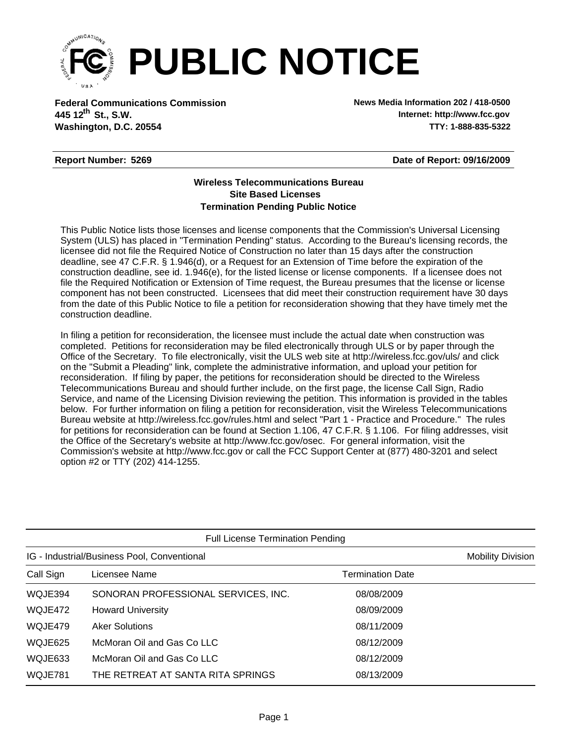

**Federal Communications Commission News Media Information 202 / 418-0500 Washington, D.C. 20554 TTY: 1-888-835-5322 445 12<sup>th</sup> St., S.W.** 

**Internet: http://www.fcc.gov**

## **Report Number: 5269**

**Date of Report: 09/16/2009**

## **Wireless Telecommunications Bureau Site Based Licenses Termination Pending Public Notice**

This Public Notice lists those licenses and license components that the Commission's Universal Licensing System (ULS) has placed in "Termination Pending" status. According to the Bureau's licensing records, the licensee did not file the Required Notice of Construction no later than 15 days after the construction deadline, see 47 C.F.R. § 1.946(d), or a Request for an Extension of Time before the expiration of the construction deadline, see id. 1.946(e), for the listed license or license components. If a licensee does not file the Required Notification or Extension of Time request, the Bureau presumes that the license or license component has not been constructed. Licensees that did meet their construction requirement have 30 days from the date of this Public Notice to file a petition for reconsideration showing that they have timely met the construction deadline.

In filing a petition for reconsideration, the licensee must include the actual date when construction was completed. Petitions for reconsideration may be filed electronically through ULS or by paper through the Office of the Secretary. To file electronically, visit the ULS web site at http://wireless.fcc.gov/uls/ and click on the "Submit a Pleading" link, complete the administrative information, and upload your petition for reconsideration. If filing by paper, the petitions for reconsideration should be directed to the Wireless Telecommunications Bureau and should further include, on the first page, the license Call Sign, Radio Service, and name of the Licensing Division reviewing the petition. This information is provided in the tables below. For further information on filing a petition for reconsideration, visit the Wireless Telecommunications Bureau website at http://wireless.fcc.gov/rules.html and select "Part 1 - Practice and Procedure." The rules for petitions for reconsideration can be found at Section 1.106, 47 C.F.R. § 1.106. For filing addresses, visit the Office of the Secretary's website at http://www.fcc.gov/osec. For general information, visit the Commission's website at http://www.fcc.gov or call the FCC Support Center at (877) 480-3201 and select option #2 or TTY (202) 414-1255.

| <b>Full License Termination Pending</b>     |                                     |                         |  |  |  |  |  |  |
|---------------------------------------------|-------------------------------------|-------------------------|--|--|--|--|--|--|
| IG - Industrial/Business Pool, Conventional | <b>Mobility Division</b>            |                         |  |  |  |  |  |  |
| Call Sign                                   | Licensee Name                       | <b>Termination Date</b> |  |  |  |  |  |  |
| WQJE394                                     | SONORAN PROFESSIONAL SERVICES, INC. | 08/08/2009              |  |  |  |  |  |  |
| WQJE472                                     | <b>Howard University</b>            | 08/09/2009              |  |  |  |  |  |  |
| WQJE479                                     | <b>Aker Solutions</b>               | 08/11/2009              |  |  |  |  |  |  |
| WQJE625                                     | McMoran Oil and Gas Co LLC          | 08/12/2009              |  |  |  |  |  |  |
| WQJE633                                     | McMoran Oil and Gas Co LLC          | 08/12/2009              |  |  |  |  |  |  |
| WQJE781                                     | THE RETREAT AT SANTA RITA SPRINGS   | 08/13/2009              |  |  |  |  |  |  |